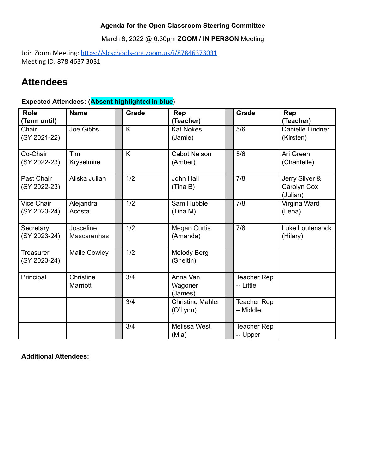### **Agenda for the Open Classroom Steering Committee**

March 8, 2022 @ 6:30pm **ZOOM / IN PERSON** Meeting

Join Zoom Meeting: <https://slcschools-org.zoom.us/j/87846373031> Meeting ID: 878 4637 3031

# **Attendees**

### **Expected Attendees: (Absent highlighted in blue)**

| <b>Role</b><br>(Term until)       | <b>Name</b>                     | <b>Grade</b> | Rep<br>(Teacher)                    | <b>Grade</b>                   | Rep<br>(Teacher)                          |
|-----------------------------------|---------------------------------|--------------|-------------------------------------|--------------------------------|-------------------------------------------|
| Chair<br>(SY 2021-22)             | Joe Gibbs                       | K            | <b>Kat Nokes</b><br>(Jamie)         | 5/6                            | Danielle Lindner<br>(Kirsten)             |
| Co-Chair<br>(SY 2022-23)          | Tim<br>Kryselmire               | K            | <b>Cabot Nelson</b><br>(Amber)      | 5/6                            | Ari Green<br>(Chantelle)                  |
| Past Chair<br>(SY 2022-23)        | Aliska Julian                   | 1/2          | John Hall<br>(Tina B)               | 7/8                            | Jerry Silver &<br>Carolyn Cox<br>(Julian) |
| <b>Vice Chair</b><br>(SY 2023-24) | Alejandra<br>Acosta             | 1/2          | Sam Hubble<br>(Tina M)              | 7/8                            | Virgina Ward<br>(Lena)                    |
| Secretary<br>(SY 2023-24)         | Josceline<br><b>Mascarenhas</b> | 1/2          | <b>Megan Curtis</b><br>(Amanda)     | 7/8                            | Luke Loutensock<br>(Hilary)               |
| <b>Treasurer</b><br>(SY 2023-24)  | Maile Cowley                    | 1/2          | Melody Berg<br>(Sheltin)            |                                |                                           |
| Principal                         | Christine<br>Marriott           | 3/4          | Anna Van<br>Wagoner<br>(James)      | Teacher Rep<br>-- Little       |                                           |
|                                   |                                 | 3/4          | <b>Christine Mahler</b><br>(O'Lynn) | <b>Teacher Rep</b><br>- Middle |                                           |
|                                   |                                 | 3/4          | Melissa West<br>(Mia)               | Teacher Rep<br>-- Upper        |                                           |

**Additional Attendees:**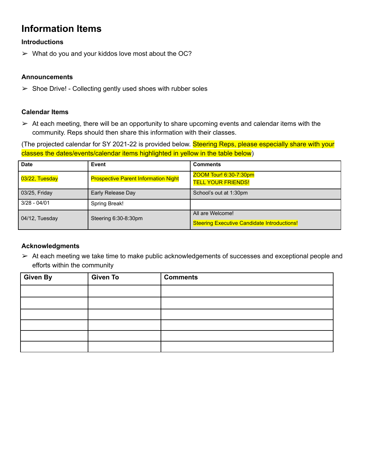# **Information Items**

#### **Introductions**

 $\triangleright$  What do you and your kiddos love most about the OC?

#### **Announcements**

 $\triangleright$  Shoe Drive! - Collecting gently used shoes with rubber soles

#### **Calendar Items**

 $\triangleright$  At each meeting, there will be an opportunity to share upcoming events and calendar items with the community. Reps should then share this information with their classes.

(The projected calendar for SY 2021-22 is provided below. Steering Reps, please especially share with your classes the dates/events/calendar items highlighted in yellow in the table below)

| <b>Date</b>    | Event                                       | <b>Comments</b>                                                        |  |
|----------------|---------------------------------------------|------------------------------------------------------------------------|--|
| 03/22, Tuesday | <b>Prospective Parent Information Night</b> | ZOOM Tour! 6:30-7:30pm<br><b>TELL YOUR FRIENDS!</b>                    |  |
| 03/25, Friday  | Early Release Day                           | School's out at 1:30pm                                                 |  |
| $3/28 - 04/01$ | Spring Break!                               |                                                                        |  |
| 04/12, Tuesday | Steering 6:30-8:30pm                        | All are Welcome!<br><b>Steering Executive Candidate Introductions!</b> |  |

#### **Acknowledgments**

➢ At each meeting we take time to make public acknowledgements of successes and exceptional people and efforts within the community

| Given By | <b>Given To</b> | <b>Comments</b> |
|----------|-----------------|-----------------|
|          |                 |                 |
|          |                 |                 |
|          |                 |                 |
|          |                 |                 |
|          |                 |                 |
|          |                 |                 |